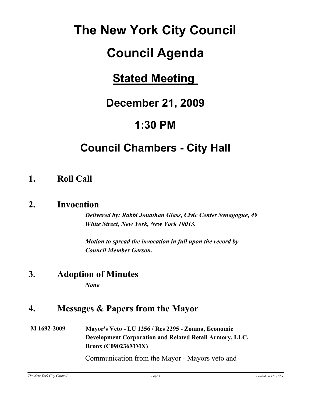# **The New York City Council**

## **Council Agenda**

## **Stated Meeting**

## **December 21, 2009**

## **1:30 PM**

## **Council Chambers - City Hall**

## **1. Roll Call**

### **2. Invocation**

*Delivered by: Rabbi Jonathan Glass, Civic Center Synagogue, 49 White Street, New York, New York 10013.*

*Motion to spread the invocation in full upon the record by Council Member Gerson.*

### **3. Adoption of Minutes**

*None*

### **4. Messages & Papers from the Mayor**

#### **M 1692-2009 Mayor's Veto - LU 1256 / Res 2295 - Zoning, Economic Development Corporation and Related Retail Armory, LLC, Bronx (C090236MMX)**

Communication from the Mayor - Mayors veto and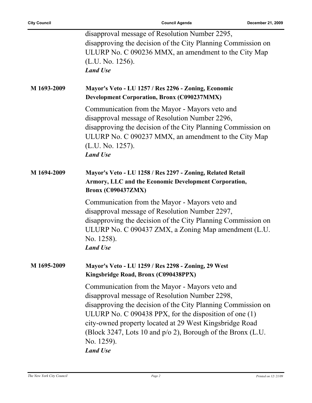|             | disapproval message of Resolution Number 2295,                                                                                                                                                                                                                  |
|-------------|-----------------------------------------------------------------------------------------------------------------------------------------------------------------------------------------------------------------------------------------------------------------|
|             | disapproving the decision of the City Planning Commission on                                                                                                                                                                                                    |
|             | ULURP No. C 090236 MMX, an amendment to the City Map                                                                                                                                                                                                            |
|             | (L.U. No. 1256).                                                                                                                                                                                                                                                |
|             | <b>Land Use</b>                                                                                                                                                                                                                                                 |
|             |                                                                                                                                                                                                                                                                 |
| M 1693-2009 | Mayor's Veto - LU 1257 / Res 2296 - Zoning, Economic<br><b>Development Corporation, Bronx (C090237MMX)</b>                                                                                                                                                      |
|             | Communication from the Mayor - Mayors veto and<br>disapproval message of Resolution Number 2296,<br>disapproving the decision of the City Planning Commission on<br>ULURP No. C 090237 MMX, an amendment to the City Map<br>(L.U. No. 1257).<br><b>Land Use</b> |
| M 1694-2009 | Mayor's Veto - LU 1258 / Res 2297 - Zoning, Related Retail<br>Armory, LLC and the Economic Development Corporation,<br><b>Bronx (C090437ZMX)</b>                                                                                                                |
|             | Communication from the Mayor - Mayors veto and<br>disapproval message of Resolution Number 2297,                                                                                                                                                                |
|             | disapproving the decision of the City Planning Commission on                                                                                                                                                                                                    |
|             |                                                                                                                                                                                                                                                                 |
|             | ULURP No. C 090437 ZMX, a Zoning Map amendment (L.U.                                                                                                                                                                                                            |
|             | No. 1258).                                                                                                                                                                                                                                                      |
|             | <b>Land Use</b>                                                                                                                                                                                                                                                 |
| M 1695-2009 | Mayor's Veto - LU 1259 / Res 2298 - Zoning, 29 West<br>Kingsbridge Road, Bronx (C090438PPX)                                                                                                                                                                     |
|             | Communication from the Mayor - Mayors veto and                                                                                                                                                                                                                  |
|             | disapproval message of Resolution Number 2298,                                                                                                                                                                                                                  |
|             | disapproving the decision of the City Planning Commission on                                                                                                                                                                                                    |
|             | ULURP No. $C$ 090438 PPX, for the disposition of one $(1)$                                                                                                                                                                                                      |
|             |                                                                                                                                                                                                                                                                 |
|             | city-owned property located at 29 West Kingsbridge Road                                                                                                                                                                                                         |
|             | (Block 3247, Lots 10 and $p/0$ 2), Borough of the Bronx (L.U.                                                                                                                                                                                                   |
|             | No. 1259).                                                                                                                                                                                                                                                      |
|             | <b>Land Use</b>                                                                                                                                                                                                                                                 |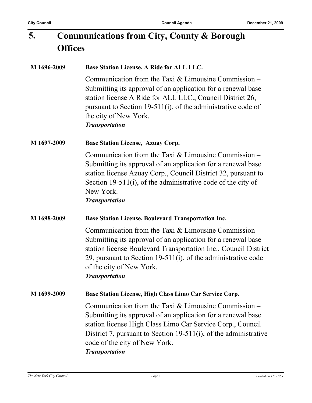#### **Communications from City, County & Borough Offices 5.**

| M 1696-2009 | Base Station License, A Ride for ALL LLC.                                                                                                                                                                                                                                                                          |
|-------------|--------------------------------------------------------------------------------------------------------------------------------------------------------------------------------------------------------------------------------------------------------------------------------------------------------------------|
|             | Communication from the Taxi $&$ Limousine Commission –<br>Submitting its approval of an application for a renewal base<br>station license A Ride for ALL LLC., Council District 26,<br>pursuant to Section 19-511(i), of the administrative code of<br>the city of New York.<br><b>Transportation</b>              |
| M 1697-2009 | <b>Base Station License, Azuay Corp.</b>                                                                                                                                                                                                                                                                           |
|             | Communication from the Taxi $&$ Limousine Commission –<br>Submitting its approval of an application for a renewal base<br>station license Azuay Corp., Council District 32, pursuant to<br>Section 19-511(i), of the administrative code of the city of<br>New York.<br><b>Transportation</b>                      |
| M 1698-2009 | <b>Base Station License, Boulevard Transportation Inc.</b>                                                                                                                                                                                                                                                         |
|             | Communication from the Taxi $&$ Limousine Commission –<br>Submitting its approval of an application for a renewal base<br>station license Boulevard Transportation Inc., Council District<br>29, pursuant to Section $19-511(i)$ , of the administrative code<br>of the city of New York.<br><b>Transportation</b> |
| M 1699-2009 | Base Station License, High Class Limo Car Service Corp.                                                                                                                                                                                                                                                            |
|             | Communication from the Taxi $&$ Limousine Commission –<br>Submitting its approval of an application for a renewal base<br>station license High Class Limo Car Service Corp., Council<br>District 7, pursuant to Section 19-511(i), of the administrative<br>code of the city of New York.<br><b>Transportation</b> |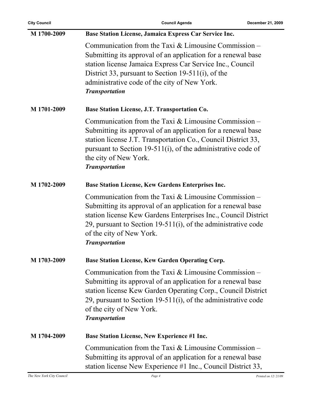| <b>City Council</b> | <b>Council Agenda</b>                                                                                                                                                                                                                                                                                              | December 21, 2009 |
|---------------------|--------------------------------------------------------------------------------------------------------------------------------------------------------------------------------------------------------------------------------------------------------------------------------------------------------------------|-------------------|
| M 1700-2009         | Base Station License, Jamaica Express Car Service Inc.                                                                                                                                                                                                                                                             |                   |
|                     | Communication from the Taxi $&$ Limousine Commission –<br>Submitting its approval of an application for a renewal base<br>station license Jamaica Express Car Service Inc., Council<br>District 33, pursuant to Section 19-511(i), of the<br>administrative code of the city of New York.<br><b>Transportation</b> |                   |
| M 1701-2009         | Base Station License, J.T. Transportation Co.                                                                                                                                                                                                                                                                      |                   |
|                     | Communication from the Taxi $&$ Limousine Commission –<br>Submitting its approval of an application for a renewal base<br>station license J.T. Transportation Co., Council District 33,<br>pursuant to Section 19-511(i), of the administrative code of<br>the city of New York.<br><b>Transportation</b>          |                   |
| M 1702-2009         | <b>Base Station License, Kew Gardens Enterprises Inc.</b>                                                                                                                                                                                                                                                          |                   |
|                     | Communication from the Taxi $&$ Limousine Commission –<br>Submitting its approval of an application for a renewal base<br>station license Kew Gardens Enterprises Inc., Council District<br>29, pursuant to Section 19-511(i), of the administrative code<br>of the city of New York.<br><b>Transportation</b>     |                   |
| M 1703-2009         | Base Station License, Kew Garden Operating Corp.                                                                                                                                                                                                                                                                   |                   |
|                     | Communication from the Taxi $&$ Limousine Commission –<br>Submitting its approval of an application for a renewal base<br>station license Kew Garden Operating Corp., Council District<br>29, pursuant to Section 19-511(i), of the administrative code<br>of the city of New York.<br><b>Transportation</b>       |                   |
| M 1704-2009         | <b>Base Station License, New Experience #1 Inc.</b>                                                                                                                                                                                                                                                                |                   |
|                     | Communication from the Taxi $&$ Limousine Commission –<br>Submitting its approval of an application for a renewal base<br>station license New Experience #1 Inc., Council District 33,                                                                                                                             |                   |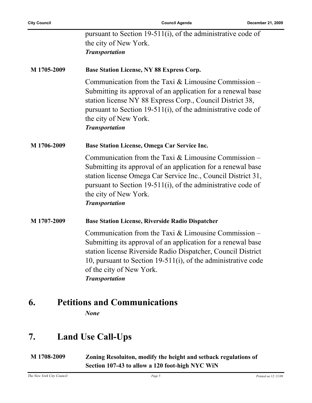|             | pursuant to Section 19-511(i), of the administrative code of                                                                                                                                                                                                                                                 |
|-------------|--------------------------------------------------------------------------------------------------------------------------------------------------------------------------------------------------------------------------------------------------------------------------------------------------------------|
|             | the city of New York.                                                                                                                                                                                                                                                                                        |
|             | <b>Transportation</b>                                                                                                                                                                                                                                                                                        |
| M 1705-2009 | <b>Base Station License, NY 88 Express Corp.</b>                                                                                                                                                                                                                                                             |
|             | Communication from the Taxi $&$ Limousine Commission –<br>Submitting its approval of an application for a renewal base<br>station license NY 88 Express Corp., Council District 38,<br>pursuant to Section 19-511(i), of the administrative code of<br>the city of New York.<br><b>Transportation</b>        |
| M 1706-2009 | Base Station License, Omega Car Service Inc.                                                                                                                                                                                                                                                                 |
|             | Communication from the Taxi $&$ Limousine Commission –<br>Submitting its approval of an application for a renewal base<br>station license Omega Car Service Inc., Council District 31,<br>pursuant to Section 19-511(i), of the administrative code of<br>the city of New York.<br><b>Transportation</b>     |
| M 1707-2009 | <b>Base Station License, Riverside Radio Dispatcher</b>                                                                                                                                                                                                                                                      |
|             | Communication from the Taxi $&$ Limousine Commission –<br>Submitting its approval of an application for a renewal base<br>station license Riverside Radio Dispatcher, Council District<br>10, pursuant to Section 19-511(i), of the administrative code<br>of the city of New York.<br><b>Transportation</b> |

### **6. Petitions and Communications**

*None*

### **7. Land Use Call-Ups**

**M 1708-2009 Zoning Resoluiton, modify the height and setback regulations of Section 107-43 to allow a 120 foot-high NYC WiN**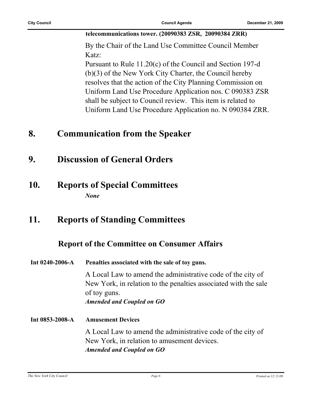#### **telecommunications tower. (20090383 ZSR, 20090384 ZRR)**

By the Chair of the Land Use Committee Council Member Katz:

Pursuant to Rule 11.20(c) of the Council and Section 197-d (b)(3) of the New York City Charter, the Council hereby resolves that the action of the City Planning Commission on Uniform Land Use Procedure Application nos. C 090383 ZSR shall be subject to Council review. This item is related to Uniform Land Use Procedure Application no. N 090384 ZRR.

### **8. Communication from the Speaker**

- **9. Discussion of General Orders**
- **10. Reports of Special Committees** *None*

### **11. Reports of Standing Committees**

#### **Report of the Committee on Consumer Affairs**

**Int 0240-2006-A Penalties associated with the sale of toy guns.**

A Local Law to amend the administrative code of the city of New York, in relation to the penalties associated with the sale of toy guns. *Amended and Coupled on GO*

**Int 0853-2008-A Amusement Devices** A Local Law to amend the administrative code of the city of New York, in relation to amusement devices. *Amended and Coupled on GO*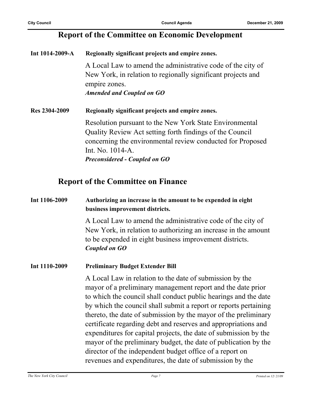#### **Report of the Committee on Economic Development**

| Int 1014-2009-A | Regionally significant projects and empire zones.                                                                                                                                                                                             |
|-----------------|-----------------------------------------------------------------------------------------------------------------------------------------------------------------------------------------------------------------------------------------------|
|                 | A Local Law to amend the administrative code of the city of<br>New York, in relation to regionally significant projects and<br>empire zones.<br><b>Amended and Coupled on GO</b>                                                              |
| Res 2304-2009   | Regionally significant projects and empire zones.                                                                                                                                                                                             |
|                 | Resolution pursuant to the New York State Environmental<br>Quality Review Act setting forth findings of the Council<br>concerning the environmental review conducted for Proposed<br>Int. No. 1014-A.<br><b>Preconsidered - Coupled on GO</b> |

#### **Report of the Committee on Finance**

#### **Int 1106-2009 Authorizing an increase in the amount to be expended in eight business improvement districts.**

A Local Law to amend the administrative code of the city of New York, in relation to authorizing an increase in the amount to be expended in eight business improvement districts. *Coupled on GO*

#### **Int 1110-2009 Preliminary Budget Extender Bill**

A Local Law in relation to the date of submission by the mayor of a preliminary management report and the date prior to which the council shall conduct public hearings and the date by which the council shall submit a report or reports pertaining thereto, the date of submission by the mayor of the preliminary certificate regarding debt and reserves and appropriations and expenditures for capital projects, the date of submission by the mayor of the preliminary budget, the date of publication by the director of the independent budget office of a report on revenues and expenditures, the date of submission by the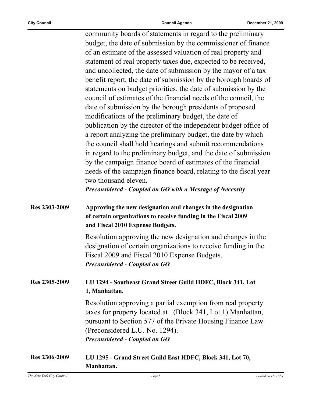community boards of statements in regard to the preliminary budget, the date of submission by the commissioner of finance of an estimate of the assessed valuation of real property and statement of real property taxes due, expected to be received, and uncollected, the date of submission by the mayor of a tax benefit report, the date of submission by the borough boards of statements on budget priorities, the date of submission by the council of estimates of the financial needs of the council, the date of submission by the borough presidents of proposed modifications of the preliminary budget, the date of publication by the director of the independent budget office of a report analyzing the preliminary budget, the date by which the council shall hold hearings and submit recommendations in regard to the preliminary budget, and the date of submission by the campaign finance board of estimates of the financial needs of the campaign finance board, relating to the fiscal year two thousand eleven. *Preconsidered - Coupled on GO with a Message of Necessity*

| Res 2303-2009 | Approving the new designation and changes in the designation<br>of certain organizations to receive funding in the Fiscal 2009<br>and Fiscal 2010 Expense Budgets.                                                                                                 |  |
|---------------|--------------------------------------------------------------------------------------------------------------------------------------------------------------------------------------------------------------------------------------------------------------------|--|
|               | Resolution approving the new designation and changes in the<br>designation of certain organizations to receive funding in the<br>Fiscal 2009 and Fiscal 2010 Expense Budgets.<br><b>Preconsidered - Coupled on GO</b>                                              |  |
| Res 2305-2009 | LU 1294 - Southeast Grand Street Guild HDFC, Block 341, Lot<br>1, Manhattan.                                                                                                                                                                                       |  |
|               | Resolution approving a partial exemption from real property<br>taxes for property located at (Block 341, Lot 1) Manhattan,<br>pursuant to Section 577 of the Private Housing Finance Law<br>(Preconsidered L.U. No. 1294).<br><b>Preconsidered - Coupled on GO</b> |  |
| Res 2306-2009 | LU 1295 - Grand Street Guild East HDFC, Block 341, Lot 70,                                                                                                                                                                                                         |  |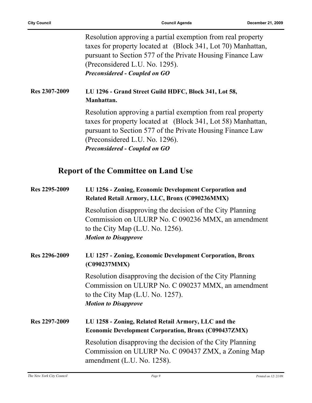Resolution approving a partial exemption from real property taxes for property located at (Block 341, Lot 70) Manhattan, pursuant to Section 577 of the Private Housing Finance Law (Preconsidered L.U. No. 1295). *Preconsidered - Coupled on GO*

#### **Res 2307-2009 LU 1296 - Grand Street Guild HDFC, Block 341, Lot 58, Manhattan.**

Resolution approving a partial exemption from real property taxes for property located at (Block 341, Lot 58) Manhattan, pursuant to Section 577 of the Private Housing Finance Law (Preconsidered L.U. No. 1296). *Preconsidered - Coupled on GO*

#### **Report of the Committee on Land Use**

| Res 2295-2009 | LU 1256 - Zoning, Economic Development Corporation and<br>Related Retail Armory, LLC, Bronx (C090236MMX)                                                                              |  |
|---------------|---------------------------------------------------------------------------------------------------------------------------------------------------------------------------------------|--|
|               | Resolution disapproving the decision of the City Planning<br>Commission on ULURP No. C 090236 MMX, an amendment<br>to the City Map $(L.U. No. 1256)$ .<br><b>Motion to Disapprove</b> |  |
| Res 2296-2009 | LU 1257 - Zoning, Economic Development Corporation, Bronx<br>(C090237MMX)                                                                                                             |  |
|               | Resolution disapproving the decision of the City Planning<br>Commission on ULURP No. C 090237 MMX, an amendment<br>to the City Map $(L.U. No. 1257)$ .<br><b>Motion to Disapprove</b> |  |
| Res 2297-2009 | LU 1258 - Zoning, Related Retail Armory, LLC and the<br><b>Economic Development Corporation, Bronx (C090437ZMX)</b>                                                                   |  |
|               | Resolution disapproving the decision of the City Planning<br>Commission on ULURP No. C 090437 ZMX, a Zoning Map<br>amendment $(L.U. No. 1258)$ .                                      |  |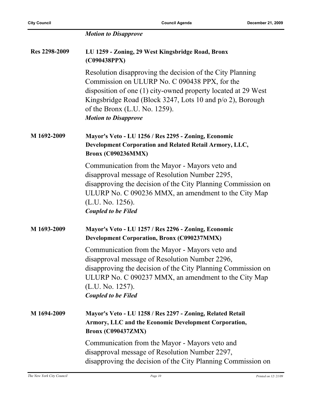|               | <b>Motion to Disapprove</b>                                                                                                                                                                                                                                                                                 |
|---------------|-------------------------------------------------------------------------------------------------------------------------------------------------------------------------------------------------------------------------------------------------------------------------------------------------------------|
| Res 2298-2009 | LU 1259 - Zoning, 29 West Kingsbridge Road, Bronx<br>(C090438PPX)                                                                                                                                                                                                                                           |
|               | Resolution disapproving the decision of the City Planning<br>Commission on ULURP No. C 090438 PPX, for the<br>disposition of one (1) city-owned property located at 29 West<br>Kingsbridge Road (Block 3247, Lots 10 and p/o 2), Borough<br>of the Bronx $(L.U. No. 1259)$ .<br><b>Motion to Disapprove</b> |
| M 1692-2009   | Mayor's Veto - LU 1256 / Res 2295 - Zoning, Economic<br>Development Corporation and Related Retail Armory, LLC,<br><b>Bronx (C090236MMX)</b>                                                                                                                                                                |
|               | Communication from the Mayor - Mayors veto and<br>disapproval message of Resolution Number 2295,<br>disapproving the decision of the City Planning Commission on<br>ULURP No. C 090236 MMX, an amendment to the City Map<br>(L.U. No. 1256).<br><b>Coupled to be Filed</b>                                  |
| M 1693-2009   | Mayor's Veto - LU 1257 / Res 2296 - Zoning, Economic<br><b>Development Corporation, Bronx (C090237MMX)</b>                                                                                                                                                                                                  |
|               | Communication from the Mayor - Mayors veto and<br>disapproval message of Resolution Number 2296,<br>disapproving the decision of the City Planning Commission on<br>ULURP No. C 090237 MMX, an amendment to the City Map<br>(L.U. No. 1257).<br><b>Coupled to be Filed</b>                                  |
| M 1694-2009   | Mayor's Veto - LU 1258 / Res 2297 - Zoning, Related Retail<br>Armory, LLC and the Economic Development Corporation,<br><b>Bronx (C090437ZMX)</b>                                                                                                                                                            |
|               | Communication from the Mayor - Mayors veto and<br>disapproval message of Resolution Number 2297,<br>disapproving the decision of the City Planning Commission on                                                                                                                                            |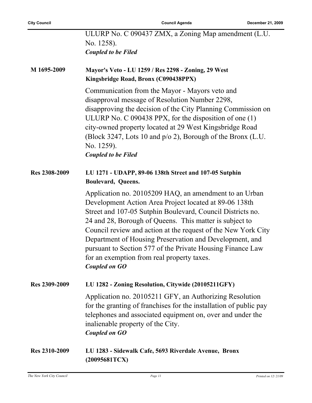|                      | ULURP No. C 090437 ZMX, a Zoning Map amendment (L.U.<br>No. 1258).                                                                                                                                                                                                                                                                                                                                                                                                                                 |
|----------------------|----------------------------------------------------------------------------------------------------------------------------------------------------------------------------------------------------------------------------------------------------------------------------------------------------------------------------------------------------------------------------------------------------------------------------------------------------------------------------------------------------|
|                      | <b>Coupled to be Filed</b>                                                                                                                                                                                                                                                                                                                                                                                                                                                                         |
| M 1695-2009          | Mayor's Veto - LU 1259 / Res 2298 - Zoning, 29 West<br>Kingsbridge Road, Bronx (C090438PPX)                                                                                                                                                                                                                                                                                                                                                                                                        |
|                      | Communication from the Mayor - Mayors veto and<br>disapproval message of Resolution Number 2298,<br>disapproving the decision of the City Planning Commission on<br>ULURP No. $C$ 090438 PPX, for the disposition of one $(1)$<br>city-owned property located at 29 West Kingsbridge Road<br>(Block 3247, Lots 10 and p/o 2), Borough of the Bronx (L.U.<br>No. 1259).<br><b>Coupled to be Filed</b>                                                                                               |
| Res 2308-2009        | LU 1271 - UDAPP, 89-06 138th Street and 107-05 Sutphin<br>Boulevard, Queens.                                                                                                                                                                                                                                                                                                                                                                                                                       |
|                      | Application no. 20105209 HAQ, an amendment to an Urban<br>Development Action Area Project located at 89-06 138th<br>Street and 107-05 Sutphin Boulevard, Council Districts no.<br>24 and 28, Borough of Queens. This matter is subject to<br>Council review and action at the request of the New York City<br>Department of Housing Preservation and Development, and<br>pursuant to Section 577 of the Private Housing Finance Law<br>for an exemption from real property taxes.<br>Coupled on GO |
| Res 2309-2009        | LU 1282 - Zoning Resolution, Citywide (20105211GFY)                                                                                                                                                                                                                                                                                                                                                                                                                                                |
|                      | Application no. 20105211 GFY, an Authorizing Resolution<br>for the granting of franchises for the installation of public pay<br>telephones and associated equipment on, over and under the<br>inalienable property of the City.<br><b>Coupled on GO</b>                                                                                                                                                                                                                                            |
| <b>Res 2310-2009</b> | LU 1283 - Sidewalk Cafe, 5693 Riverdale Avenue, Bronx<br>(20095681TCX)                                                                                                                                                                                                                                                                                                                                                                                                                             |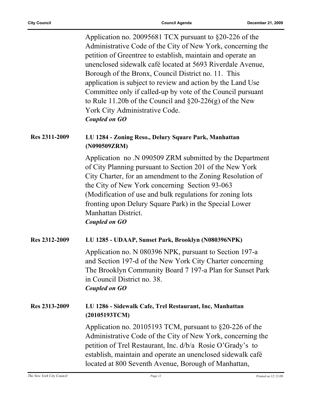Application no. 20095681 TCX pursuant to §20-226 of the Administrative Code of the City of New York, concerning the petition of Greentree to establish, maintain and operate an unenclosed sidewalk café located at 5693 Riverdale Avenue, Borough of the Bronx, Council District no. 11. This application is subject to review and action by the Land Use Committee only if called-up by vote of the Council pursuant to Rule 11.20b of the Council and §20-226(g) of the New York City Administrative Code. *Coupled on GO*

#### **Res 2311-2009 LU 1284 - Zoning Reso., Delury Square Park, Manhattan (N090509ZRM)**

Application no .N 090509 ZRM submitted by the Department of City Planning pursuant to Section 201 of the New York City Charter, for an amendment to the Zoning Resolution of the City of New York concerning Section 93-063 (Modification of use and bulk regulations for zoning lots fronting upon Delury Square Park) in the Special Lower Manhattan District. *Coupled on GO*

#### **Res 2312-2009 LU 1285 - UDAAP, Sunset Park, Brooklyn (N080396NPK)** Application no. N 080396 NPK, pursuant to Section 197-a and Section 197-d of the New York City Charter concerning The Brooklyn Community Board 7 197-a Plan for Sunset Park in Council District no. 38. *Coupled on GO*

#### **Res 2313-2009 LU 1286 - Sidewalk Cafe, Trel Restaurant, Inc, Manhattan (20105193TCM)**

Application no. 20105193 TCM, pursuant to §20-226 of the Administrative Code of the City of New York, concerning the petition of Trel Restaurant, Inc. d/b/a Rosie O'Grady's to establish, maintain and operate an unenclosed sidewalk café located at 800 Seventh Avenue, Borough of Manhattan,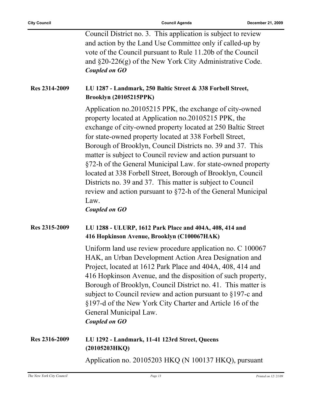|               | Council District no. 3. This application is subject to review<br>and action by the Land Use Committee only if called-up by<br>vote of the Council pursuant to Rule 11.20b of the Council<br>and $\S20-226(g)$ of the New York City Administrative Code.<br><b>Coupled on GO</b>                                                                                                                                                                                                                                                                                                                                                                                     |
|---------------|---------------------------------------------------------------------------------------------------------------------------------------------------------------------------------------------------------------------------------------------------------------------------------------------------------------------------------------------------------------------------------------------------------------------------------------------------------------------------------------------------------------------------------------------------------------------------------------------------------------------------------------------------------------------|
| Res 2314-2009 | LU 1287 - Landmark, 250 Baltic Street & 338 Forbell Street,<br><b>Brooklyn (20105215PPK)</b>                                                                                                                                                                                                                                                                                                                                                                                                                                                                                                                                                                        |
|               | Application no.20105215 PPK, the exchange of city-owned<br>property located at Application no.20105215 PPK, the<br>exchange of city-owned property located at 250 Baltic Street<br>for state-owned property located at 338 Forbell Street,<br>Borough of Brooklyn, Council Districts no. 39 and 37. This<br>matter is subject to Council review and action pursuant to<br>§72-h of the General Municipal Law. for state-owned property<br>located at 338 Forbell Street, Borough of Brooklyn, Council<br>Districts no. 39 and 37. This matter is subject to Council<br>review and action pursuant to §72-h of the General Municipal<br>Law.<br><b>Coupled on GO</b> |
| Res 2315-2009 | LU 1288 - ULURP, 1612 Park Place and 404A, 408, 414 and<br>416 Hopkinson Avenue, Brooklyn (C100067HAK)                                                                                                                                                                                                                                                                                                                                                                                                                                                                                                                                                              |
|               | Uniform land use review procedure application no. C 100067<br>HAK, an Urban Development Action Area Designation and<br>Project, located at 1612 Park Place and 404A, 408, 414 and<br>416 Hopkinson Avenue, and the disposition of such property,<br>Borough of Brooklyn, Council District no. 41. This matter is<br>subject to Council review and action pursuant to $§197$ -c and<br>§197-d of the New York City Charter and Article 16 of the<br>General Municipal Law.<br><b>Coupled on GO</b>                                                                                                                                                                   |
| Res 2316-2009 | LU 1292 - Landmark, 11-41 123rd Street, Queens<br>(20105203HKQ)                                                                                                                                                                                                                                                                                                                                                                                                                                                                                                                                                                                                     |
|               |                                                                                                                                                                                                                                                                                                                                                                                                                                                                                                                                                                                                                                                                     |

Application no. 20105203 HKQ (N 100137 HKQ), pursuant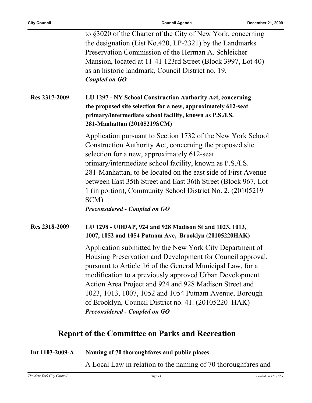|               | to §3020 of the Charter of the City of New York, concerning<br>the designation (List No.420, LP-2321) by the Landmarks<br>Preservation Commission of the Herman A. Schleicher<br>Mansion, located at 11-41 123rd Street (Block 3997, Lot 40)<br>as an historic landmark, Council District no. 19.<br><b>Coupled on GO</b>                                                                                                                                                           |
|---------------|-------------------------------------------------------------------------------------------------------------------------------------------------------------------------------------------------------------------------------------------------------------------------------------------------------------------------------------------------------------------------------------------------------------------------------------------------------------------------------------|
| Res 2317-2009 | LU 1297 - NY School Construction Authority Act, concerning<br>the proposed site selection for a new, approximately 612-seat<br>primary/intermediate school facility, known as P.S./I.S.<br>281-Manhattan (20105219SCM)                                                                                                                                                                                                                                                              |
|               | Application pursuant to Section 1732 of the New York School<br>Construction Authority Act, concerning the proposed site<br>selection for a new, approximately 612-seat<br>primary/intermediate school facility, known as P.S./I.S.<br>281-Manhattan, to be located on the east side of First Avenue<br>between East 35th Street and East 36th Street (Block 967, Lot<br>1 (in portion), Community School District No. 2. (20105219)<br>SCM)<br><b>Preconsidered - Coupled on GO</b> |
| Res 2318-2009 | LU 1298 - UDDAP, 924 and 928 Madison St and 1023, 1013,<br>1007, 1052 and 1054 Putnam Ave, Brooklyn (20105220HAK)                                                                                                                                                                                                                                                                                                                                                                   |
|               | Application submitted by the New York City Department of<br>Housing Preservation and Development for Council approval,<br>pursuant to Article 16 of the General Municipal Law, for a<br>modification to a previously approved Urban Development<br>Action Area Project and 924 and 928 Madison Street and<br>1023, 1013, 1007, 1052 and 1054 Putnam Avenue, Borough<br>of Brooklyn, Council District no. 41. (20105220 HAK)<br><b>Preconsidered - Coupled on GO</b>                 |

### **Report of the Committee on Parks and Recreation**

| Int $1103-2009-A$ | Naming of 70 thoroughfares and public places. |
|-------------------|-----------------------------------------------|
|                   |                                               |

A Local Law in relation to the naming of 70 thoroughfares and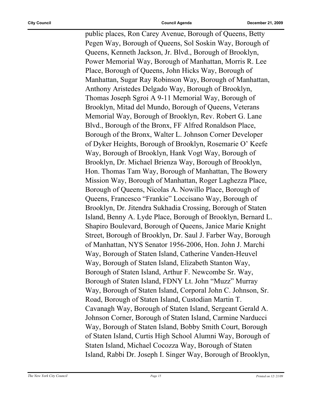public places, Ron Carey Avenue, Borough of Queens, Betty Pegen Way, Borough of Queens, Sol Soskin Way, Borough of Queens, Kenneth Jackson, Jr. Blvd., Borough of Brooklyn, Power Memorial Way, Borough of Manhattan, Morris R. Lee Place, Borough of Queens, John Hicks Way, Borough of Manhattan, Sugar Ray Robinson Way, Borough of Manhattan, Anthony Aristedes Delgado Way, Borough of Brooklyn, Thomas Joseph Sgroi A 9-11 Memorial Way, Borough of Brooklyn, Mitad del Mundo, Borough of Queens, Veterans Memorial Way, Borough of Brooklyn, Rev. Robert G. Lane Blvd., Borough of the Bronx, FF Alfred Ronaldson Place, Borough of the Bronx, Walter L. Johnson Corner Developer of Dyker Heights, Borough of Brooklyn, Rosemarie O' Keefe Way, Borough of Brooklyn, Hank Vogt Way, Borough of Brooklyn, Dr. Michael Brienza Way, Borough of Brooklyn, Hon. Thomas Tam Way, Borough of Manhattan, The Bowery Mission Way, Borough of Manhattan, Roger Laghezza Place, Borough of Queens, Nicolas A. Nowillo Place, Borough of Queens, Francesco "Frankie" Loccisano Way, Borough of Brooklyn, Dr. Jitendra Sukhadia Crossing, Borough of Staten Island, Benny A. Lyde Place, Borough of Brooklyn, Bernard L. Shapiro Boulevard, Borough of Queens, Janice Marie Knight Street, Borough of Brooklyn, Dr. Saul J. Farber Way, Borough of Manhattan, NYS Senator 1956-2006, Hon. John J. Marchi Way, Borough of Staten Island, Catherine Vanden-Heuvel Way, Borough of Staten Island, Elizabeth Stanton Way, Borough of Staten Island, Arthur F. Newcombe Sr. Way, Borough of Staten Island, FDNY Lt. John "Muzz" Murray Way, Borough of Staten Island, Corporal John C. Johnson, Sr. Road, Borough of Staten Island, Custodian Martin T. Cavanagh Way, Borough of Staten Island, Sergeant Gerald A. Johnson Corner, Borough of Staten Island, Carmine Narducci Way, Borough of Staten Island, Bobby Smith Court, Borough of Staten Island, Curtis High School Alumni Way, Borough of Staten Island, Michael Cocozza Way, Borough of Staten Island, Rabbi Dr. Joseph I. Singer Way, Borough of Brooklyn,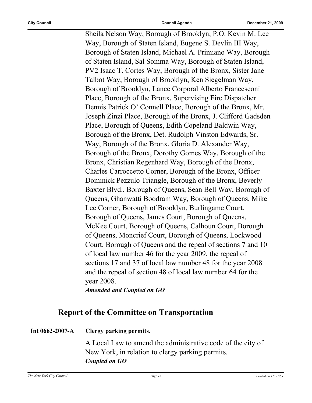Sheila Nelson Way, Borough of Brooklyn, P.O. Kevin M. Lee Way, Borough of Staten Island, Eugene S. Devlin III Way, Borough of Staten Island, Michael A. Primiano Way, Borough of Staten Island, Sal Somma Way, Borough of Staten Island, PV2 Isaac T. Cortes Way, Borough of the Bronx, Sister Jane Talbot Way, Borough of Brooklyn, Ken Siegelman Way, Borough of Brooklyn, Lance Corporal Alberto Francesconi Place, Borough of the Bronx, Supervising Fire Dispatcher Dennis Patrick O' Connell Place, Borough of the Bronx, Mr. Joseph Zinzi Place, Borough of the Bronx, J. Clifford Gadsden Place, Borough of Queens, Edith Copeland Baldwin Way, Borough of the Bronx, Det. Rudolph Vinston Edwards, Sr. Way, Borough of the Bronx, Gloria D. Alexander Way, Borough of the Bronx, Dorothy Gomes Way, Borough of the Bronx, Christian Regenhard Way, Borough of the Bronx, Charles Carroccetto Corner, Borough of the Bronx, Officer Dominick Pezzulo Triangle, Borough of the Bronx, Beverly Baxter Blvd., Borough of Queens, Sean Bell Way, Borough of Queens, Ghanwatti Boodram Way, Borough of Queens, Mike Lee Corner, Borough of Brooklyn, Burlingame Court, Borough of Queens, James Court, Borough of Queens, McKee Court, Borough of Queens, Calhoun Court, Borough of Queens, Moncrief Court, Borough of Queens, Lockwood Court, Borough of Queens and the repeal of sections 7 and 10 of local law number 46 for the year 2009, the repeal of sections 17 and 37 of local law number 48 for the year 2008 and the repeal of section 48 of local law number 64 for the year 2008.

*Amended and Coupled on GO*

#### **Report of the Committee on Transportation**

#### **Int 0662-2007-A Clergy parking permits.**

A Local Law to amend the administrative code of the city of New York, in relation to clergy parking permits. *Coupled on GO*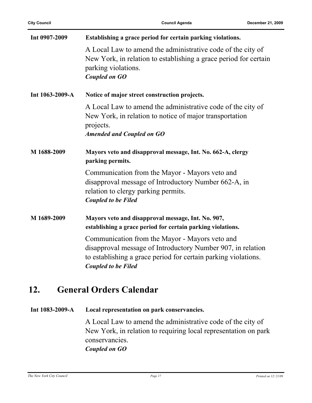| Int 0907-2009   | Establishing a grace period for certain parking violations.                                                                                                                                                   |
|-----------------|---------------------------------------------------------------------------------------------------------------------------------------------------------------------------------------------------------------|
|                 | A Local Law to amend the administrative code of the city of<br>New York, in relation to establishing a grace period for certain<br>parking violations.<br><b>Coupled on GO</b>                                |
| Int 1063-2009-A | Notice of major street construction projects.                                                                                                                                                                 |
|                 | A Local Law to amend the administrative code of the city of<br>New York, in relation to notice of major transportation<br>projects.<br><b>Amended and Coupled on GO</b>                                       |
| M 1688-2009     | Mayors veto and disapproval message, Int. No. 662-A, clergy<br>parking permits.                                                                                                                               |
|                 | Communication from the Mayor - Mayors veto and<br>disapproval message of Introductory Number 662-A, in<br>relation to clergy parking permits.<br><b>Coupled to be Filed</b>                                   |
| M 1689-2009     | Mayors veto and disapproval message, Int. No. 907,<br>establishing a grace period for certain parking violations.                                                                                             |
|                 | Communication from the Mayor - Mayors veto and<br>disapproval message of Introductory Number 907, in relation<br>to establishing a grace period for certain parking violations.<br><b>Coupled to be Filed</b> |

### **12. General Orders Calendar**

**Int 1083-2009-A Local representation on park conservancies.**

A Local Law to amend the administrative code of the city of New York, in relation to requiring local representation on park conservancies. *Coupled on GO*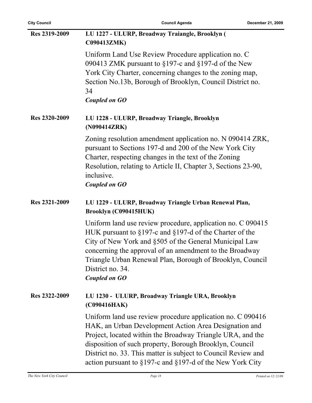| <b>City Council</b> | <b>Council Agenda</b>                                                                                                                                                                                                                                                                                                                                                                | December 21, 2009 |
|---------------------|--------------------------------------------------------------------------------------------------------------------------------------------------------------------------------------------------------------------------------------------------------------------------------------------------------------------------------------------------------------------------------------|-------------------|
| Res 2319-2009       | LU 1227 - ULURP, Broadway Traiangle, Brooklyn (<br>C090413ZMK)                                                                                                                                                                                                                                                                                                                       |                   |
|                     | Uniform Land Use Review Procedure application no. C<br>090413 ZMK pursuant to $\S 197$ -c and $\S 197$ -d of the New<br>York City Charter, concerning changes to the zoning map,<br>Section No.13b, Borough of Brooklyn, Council District no.<br>34<br>Coupled on GO                                                                                                                 |                   |
| Res 2320-2009       | LU 1228 - ULURP, Broadway Triangle, Brooklyn<br>(N090414ZRK)                                                                                                                                                                                                                                                                                                                         |                   |
|                     | Zoning resolution amendment application no. N 090414 ZRK,<br>pursuant to Sections 197-d and 200 of the New York City<br>Charter, respecting changes in the text of the Zoning<br>Resolution, relating to Article II, Chapter 3, Sections 23-90,<br>inclusive.<br><b>Coupled on GO</b>                                                                                                |                   |
| Res 2321-2009       | LU 1229 - ULURP, Broadway Triangle Urban Renewal Plan,<br>Brooklyn (C090415HUK)                                                                                                                                                                                                                                                                                                      |                   |
|                     | Uniform land use review procedure, application no. C 090415<br>HUK pursuant to $\S197$ -c and $\S197$ -d of the Charter of the<br>City of New York and §505 of the General Municipal Law<br>concerning the approval of an amendment to the Broadway<br>Triangle Urban Renewal Plan, Borough of Brooklyn, Council<br>District no. 34.<br><b>Coupled on GO</b>                         |                   |
| Res 2322-2009       | LU 1230 - ULURP, Broadway Triangle URA, Brooklyn<br>(C090416HAK)                                                                                                                                                                                                                                                                                                                     |                   |
|                     | Uniform land use review procedure application no. C 090416<br>HAK, an Urban Development Action Area Designation and<br>Project, located within the Broadway Triangle URA, and the<br>disposition of such property, Borough Brooklyn, Council<br>District no. 33. This matter is subject to Council Review and<br>action pursuant to $\S 197$ -c and $\S 197$ -d of the New York City |                   |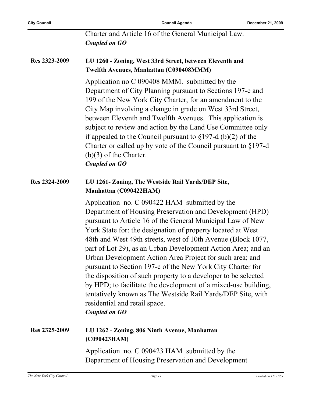Charter and Article 16 of the General Municipal Law. *Coupled on GO*

#### **Res 2323-2009 LU 1260 - Zoning, West 33rd Street, between Eleventh and Twelfth Avenues, Manhattan (C090408MMM)**

Application no C 090408 MMM. submitted by the Department of City Planning pursuant to Sections 197-c and 199 of the New York City Charter, for an amendment to the City Map involving a change in grade on West 33rd Street, between Eleventh and Twelfth Avenues. This application is subject to review and action by the Land Use Committee only if appealed to the Council pursuant to §197-d (b)(2) of the Charter or called up by vote of the Council pursuant to §197-d (b)(3) of the Charter. *Coupled on GO*

#### **Res 2324-2009 LU 1261- Zoning, The Westside Rail Yards/DEP Site, Manhattan (C090422HAM)**

Application no. C 090422 HAM submitted by the Department of Housing Preservation and Development (HPD) pursuant to Article 16 of the General Municipal Law of New York State for: the designation of property located at West 48th and West 49th streets, west of 10th Avenue (Block 1077, part of Lot 29), as an Urban Development Action Area; and an Urban Development Action Area Project for such area; and pursuant to Section 197-c of the New York City Charter for the disposition of such property to a developer to be selected by HPD; to facilitate the development of a mixed-use building, tentatively known as The Westside Rail Yards/DEP Site, with residential and retail space.

*Coupled on GO*

#### **Res 2325-2009 LU 1262 - Zoning, 806 Ninth Avenue, Manhattan (C090423HAM)**

Application no. C 090423 HAM submitted by the Department of Housing Preservation and Development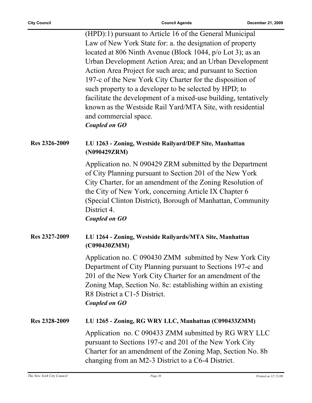$\overline{\phantom{0}}$ 

|               | (HPD):1) pursuant to Article 16 of the General Municipal<br>Law of New York State for: a. the designation of property<br>located at 806 Ninth Avenue (Block 1044, p/o Lot 3); as an<br>Urban Development Action Area; and an Urban Development<br>Action Area Project for such area; and pursuant to Section<br>197-c of the New York City Charter for the disposition of<br>such property to a developer to be selected by HPD; to<br>facilitate the development of a mixed-use building, tentatively<br>known as the Westside Rail Yard/MTA Site, with residential<br>and commercial space.<br><b>Coupled on GO</b> |
|---------------|-----------------------------------------------------------------------------------------------------------------------------------------------------------------------------------------------------------------------------------------------------------------------------------------------------------------------------------------------------------------------------------------------------------------------------------------------------------------------------------------------------------------------------------------------------------------------------------------------------------------------|
| Res 2326-2009 | LU 1263 - Zoning, Westside Railyard/DEP Site, Manhattan<br>(N090429ZRM)                                                                                                                                                                                                                                                                                                                                                                                                                                                                                                                                               |
|               | Application no. N 090429 ZRM submitted by the Department<br>of City Planning pursuant to Section 201 of the New York<br>City Charter, for an amendment of the Zoning Resolution of<br>the City of New York, concerning Article IX Chapter 6<br>(Special Clinton District), Borough of Manhattan, Community<br>District 4.<br><b>Coupled on GO</b>                                                                                                                                                                                                                                                                     |
| Res 2327-2009 | LU 1264 - Zoning, Westside Railyards/MTA Site, Manhattan<br>(C090430ZMM)                                                                                                                                                                                                                                                                                                                                                                                                                                                                                                                                              |
|               | Application no. C 090430 ZMM submitted by New York City<br>Department of City Planning pursuant to Sections 197-c and<br>201 of the New York City Charter for an amendment of the<br>Zoning Map, Section No. 8c: establishing within an existing<br>R8 District a C1-5 District.<br><b>Coupled on GO</b>                                                                                                                                                                                                                                                                                                              |
| Res 2328-2009 | LU 1265 - Zoning, RG WRY LLC, Manhattan (C090433ZMM)                                                                                                                                                                                                                                                                                                                                                                                                                                                                                                                                                                  |
|               | Application no. C 090433 ZMM submitted by RG WRY LLC<br>pursuant to Sections 197-c and 201 of the New York City<br>Charter for an amendment of the Zoning Map, Section No. 8b<br>changing from an M2-3 District to a C6-4 District.                                                                                                                                                                                                                                                                                                                                                                                   |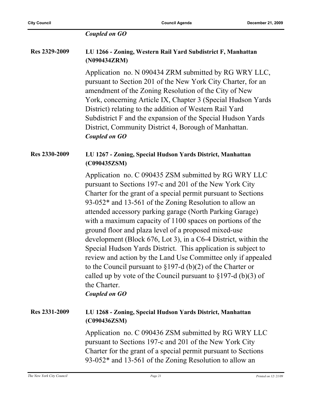#### *Coupled on GO*

#### **Res 2329-2009 LU 1266 - Zoning, Western Rail Yard Subdistrict F, Manhattan (N090434ZRM)**

Application no. N 090434 ZRM submitted by RG WRY LLC, pursuant to Section 201 of the New York City Charter, for an amendment of the Zoning Resolution of the City of New York, concerning Article IX, Chapter 3 (Special Hudson Yards District) relating to the addition of Western Rail Yard Subdistrict F and the expansion of the Special Hudson Yards District, Community District 4, Borough of Manhattan. *Coupled on GO*

#### **Res 2330-2009 LU 1267 - Zoning, Special Hudson Yards District, Manhattan (C090435ZSM)**

Application no. C 090435 ZSM submitted by RG WRY LLC pursuant to Sections 197-c and 201 of the New York City Charter for the grant of a special permit pursuant to Sections 93-052\* and 13-561 of the Zoning Resolution to allow an attended accessory parking garage (North Parking Garage) with a maximum capacity of 1100 spaces on portions of the ground floor and plaza level of a proposed mixed-use development (Block 676, Lot 3), in a C6-4 District, within the Special Hudson Yards District. This application is subject to review and action by the Land Use Committee only if appealed to the Council pursuant to §197-d (b)(2) of the Charter or called up by vote of the Council pursuant to  $\S 197-d$  (b)(3) of the Charter.

#### *Coupled on GO*

#### **Res 2331-2009 LU 1268 - Zoning, Special Hudson Yards District, Manhattan (C090436ZSM)**

Application no. C 090436 ZSM submitted by RG WRY LLC pursuant to Sections 197-c and 201 of the New York City Charter for the grant of a special permit pursuant to Sections 93-052\* and 13-561 of the Zoning Resolution to allow an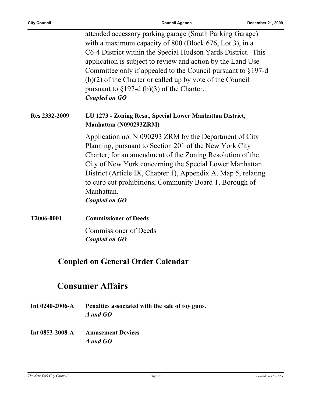| T2006-0001    | <b>Commissioner of Deeds</b>                                                                                                                                                                                                                                                                                                                                                                                                                                   |
|---------------|----------------------------------------------------------------------------------------------------------------------------------------------------------------------------------------------------------------------------------------------------------------------------------------------------------------------------------------------------------------------------------------------------------------------------------------------------------------|
|               | Manhattan.<br><b>Coupled on GO</b>                                                                                                                                                                                                                                                                                                                                                                                                                             |
|               | Application no. N 090293 ZRM by the Department of City<br>Planning, pursuant to Section 201 of the New York City<br>Charter, for an amendment of the Zoning Resolution of the<br>City of New York concerning the Special Lower Manhattan<br>District (Article IX, Chapter 1), Appendix A, Map 5, relating<br>to curb cut prohibitions, Community Board 1, Borough of                                                                                           |
| Res 2332-2009 | LU 1273 - Zoning Reso., Special Lower Manhattan District,<br>Manhattan (N090293ZRM)                                                                                                                                                                                                                                                                                                                                                                            |
|               | attended accessory parking garage (South Parking Garage)<br>with a maximum capacity of 800 (Block 676, Lot 3), in a<br>C6-4 District within the Special Hudson Yards District. This<br>application is subject to review and action by the Land Use<br>Committee only if appealed to the Council pursuant to $\S 197-d$<br>$(b)(2)$ of the Charter or called up by vote of the Council<br>pursuant to $\S 197-d$ (b)(3) of the Charter.<br><b>Coupled on GO</b> |

Commissioner of Deeds *Coupled on GO*

### **Coupled on General Order Calendar**

## **Consumer Affairs**

- **Int 0240-2006-A Penalties associated with the sale of toy guns.** *A and GO*
- **Int 0853-2008-A Amusement Devices** *A and GO*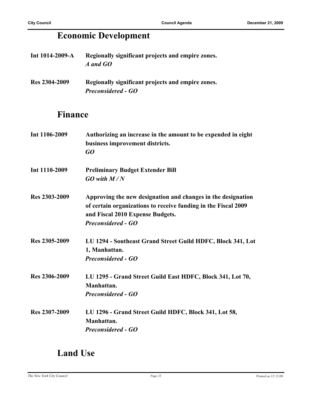## **Economic Development**

| Int $1014 - 2009 - A$ | Regionally significant projects and empire zones. |
|-----------------------|---------------------------------------------------|
|                       | A and GO                                          |

**Res 2304-2009 Regionally significant projects and empire zones.** *Preconsidered - GO*

### **Finance**

| Int 1106-2009 | Authorizing an increase in the amount to be expended in eight<br>business improvement districts.<br>GQ                                                                                          |
|---------------|-------------------------------------------------------------------------------------------------------------------------------------------------------------------------------------------------|
| Int 1110-2009 | <b>Preliminary Budget Extender Bill</b><br>$GO$ with $M/N$                                                                                                                                      |
| Res 2303-2009 | Approving the new designation and changes in the designation<br>of certain organizations to receive funding in the Fiscal 2009<br>and Fiscal 2010 Expense Budgets.<br><b>Preconsidered - GO</b> |
| Res 2305-2009 | LU 1294 - Southeast Grand Street Guild HDFC, Block 341, Lot<br>1, Manhattan.<br><b>Preconsidered - GO</b>                                                                                       |
| Res 2306-2009 | LU 1295 - Grand Street Guild East HDFC, Block 341, Lot 70,<br>Manhattan.<br><b>Preconsidered - GO</b>                                                                                           |
| Res 2307-2009 | LU 1296 - Grand Street Guild HDFC, Block 341, Lot 58,<br>Manhattan.<br><b>Preconsidered - GO</b>                                                                                                |

### **Land Use**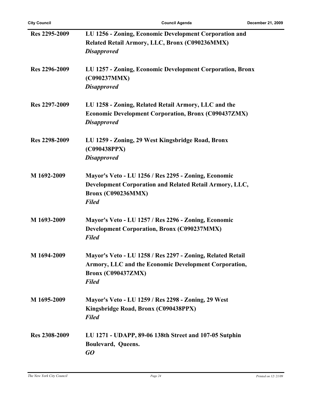| Res 2295-2009 | LU 1256 - Zoning, Economic Development Corporation and<br>Related Retail Armory, LLC, Bronx (C090236MMX) |
|---------------|----------------------------------------------------------------------------------------------------------|
|               | <b>Disapproved</b>                                                                                       |
| Res 2296-2009 | LU 1257 - Zoning, Economic Development Corporation, Bronx<br>(C090237MMX)                                |
|               | <b>Disapproved</b>                                                                                       |
| Res 2297-2009 | LU 1258 - Zoning, Related Retail Armory, LLC and the                                                     |
|               | <b>Economic Development Corporation, Bronx (C090437ZMX)</b>                                              |
|               | <b>Disapproved</b>                                                                                       |
| Res 2298-2009 | LU 1259 - Zoning, 29 West Kingsbridge Road, Bronx                                                        |
|               | (C090438PPX)                                                                                             |
|               | <b>Disapproved</b>                                                                                       |
| M 1692-2009   | Mayor's Veto - LU 1256 / Res 2295 - Zoning, Economic                                                     |
|               | Development Corporation and Related Retail Armory, LLC,                                                  |
|               | <b>Bronx (C090236MMX)</b>                                                                                |
|               | <b>Filed</b>                                                                                             |
| M 1693-2009   | Mayor's Veto - LU 1257 / Res 2296 - Zoning, Economic                                                     |
|               | <b>Development Corporation, Bronx (C090237MMX)</b>                                                       |
|               | <b>Filed</b>                                                                                             |
| M 1694-2009   | Mayor's Veto - LU 1258 / Res 2297 - Zoning, Related Retail                                               |
|               | Armory, LLC and the Economic Development Corporation,                                                    |
|               | <b>Bronx (C090437ZMX)</b>                                                                                |
|               | <b>Filed</b>                                                                                             |
| M 1695-2009   | Mayor's Veto - LU 1259 / Res 2298 - Zoning, 29 West                                                      |
|               | Kingsbridge Road, Bronx (C090438PPX)                                                                     |
|               | <b>Filed</b>                                                                                             |
| Res 2308-2009 | LU 1271 - UDAPP, 89-06 138th Street and 107-05 Sutphin                                                   |
|               | Boulevard, Queens.                                                                                       |
|               | GO                                                                                                       |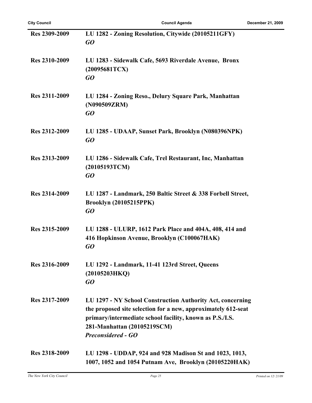| Res 2309-2009 | LU 1282 - Zoning Resolution, Citywide (20105211GFY)<br>GO                                                                                                                                                                                           |
|---------------|-----------------------------------------------------------------------------------------------------------------------------------------------------------------------------------------------------------------------------------------------------|
| Res 2310-2009 | LU 1283 - Sidewalk Cafe, 5693 Riverdale Avenue, Bronx<br>(20095681TCX)<br>GO                                                                                                                                                                        |
| Res 2311-2009 | LU 1284 - Zoning Reso., Delury Square Park, Manhattan<br>(N090509ZRM)<br>GO                                                                                                                                                                         |
| Res 2312-2009 | LU 1285 - UDAAP, Sunset Park, Brooklyn (N080396NPK)<br>GO                                                                                                                                                                                           |
| Res 2313-2009 | LU 1286 - Sidewalk Cafe, Trel Restaurant, Inc, Manhattan<br>(20105193TCM)<br>GO                                                                                                                                                                     |
| Res 2314-2009 | LU 1287 - Landmark, 250 Baltic Street & 338 Forbell Street,<br><b>Brooklyn (20105215PPK)</b><br>GO                                                                                                                                                  |
| Res 2315-2009 | LU 1288 - ULURP, 1612 Park Place and 404A, 408, 414 and<br>416 Hopkinson Avenue, Brooklyn (C100067HAK)<br>GO                                                                                                                                        |
| Res 2316-2009 | LU 1292 - Landmark, 11-41 123rd Street, Queens<br>(20105203HKQ)<br>GO                                                                                                                                                                               |
| Res 2317-2009 | LU 1297 - NY School Construction Authority Act, concerning<br>the proposed site selection for a new, approximately 612-seat<br>primary/intermediate school facility, known as P.S./I.S.<br>281-Manhattan (20105219SCM)<br><b>Preconsidered - GO</b> |
| Res 2318-2009 | LU 1298 - UDDAP, 924 and 928 Madison St and 1023, 1013,<br>1007, 1052 and 1054 Putnam Ave, Brooklyn (20105220HAK)                                                                                                                                   |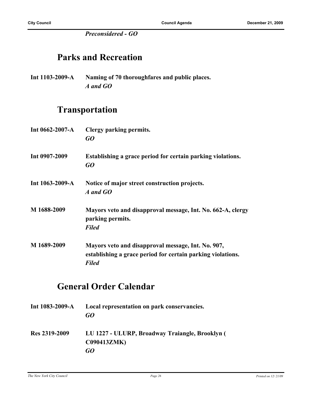*Preconsidered - GO*

### **Parks and Recreation**

**Int 1103-2009-A Naming of 70 thoroughfares and public places.** *A and GO*

### **Transportation**

| Int $0662 - 2007 - A$ | Clergy parking permits.<br>GO                                                                                                     |
|-----------------------|-----------------------------------------------------------------------------------------------------------------------------------|
| Int 0907-2009         | Establishing a grace period for certain parking violations.<br>GO                                                                 |
| Int 1063-2009-A       | Notice of major street construction projects.<br>A and GO                                                                         |
| M 1688-2009           | Mayors veto and disapproval message, Int. No. 662-A, clergy<br>parking permits.<br><b>Filed</b>                                   |
| M 1689-2009           | Mayors veto and disapproval message, Int. No. 907,<br>establishing a grace period for certain parking violations.<br><b>Filed</b> |

### **General Order Calendar**

| Int $1083 - 2009 - A$ | Local representation on park conservancies.<br>GO                     |
|-----------------------|-----------------------------------------------------------------------|
| Res 2319-2009         | LU 1227 - ULURP, Broadway Traiangle, Brooklyn (<br><b>C090413ZMK)</b> |
|                       | GO                                                                    |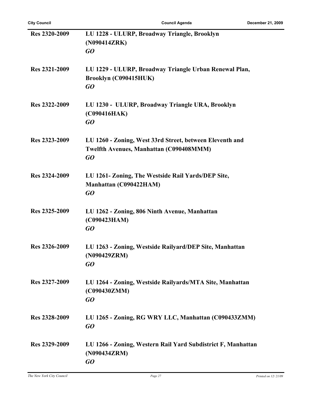| Res 2320-2009 | LU 1228 - ULURP, Broadway Triangle, Brooklyn                 |
|---------------|--------------------------------------------------------------|
|               | (N090414ZRK)                                                 |
|               | GO                                                           |
|               |                                                              |
| Res 2321-2009 | LU 1229 - ULURP, Broadway Triangle Urban Renewal Plan,       |
|               | Brooklyn (C090415HUK)                                        |
|               | GO                                                           |
|               |                                                              |
| Res 2322-2009 | LU 1230 - ULURP, Broadway Triangle URA, Brooklyn             |
|               |                                                              |
|               | (C090416HAK)                                                 |
|               | GO                                                           |
| Res 2323-2009 | LU 1260 - Zoning, West 33rd Street, between Eleventh and     |
|               |                                                              |
|               | Twelfth Avenues, Manhattan (C090408MMM)                      |
|               | GO                                                           |
| Res 2324-2009 | LU 1261- Zoning, The Westside Rail Yards/DEP Site,           |
|               | Manhattan (C090422HAM)                                       |
|               | GO                                                           |
|               |                                                              |
| Res 2325-2009 | LU 1262 - Zoning, 806 Ninth Avenue, Manhattan                |
|               | (C090423HAM)                                                 |
|               | GO                                                           |
|               |                                                              |
| Res 2326-2009 | LU 1263 - Zoning, Westside Railyard/DEP Site, Manhattan      |
|               | (N090429ZRM)                                                 |
|               | GO                                                           |
|               |                                                              |
| Res 2327-2009 | LU 1264 - Zoning, Westside Railyards/MTA Site, Manhattan     |
|               | (C090430ZMM)                                                 |
|               | GO                                                           |
|               |                                                              |
| Res 2328-2009 | LU 1265 - Zoning, RG WRY LLC, Manhattan (C090433ZMM)         |
|               | GO                                                           |
|               |                                                              |
| Res 2329-2009 | LU 1266 - Zoning, Western Rail Yard Subdistrict F, Manhattan |
|               | (N090434ZRM)                                                 |
|               | GO                                                           |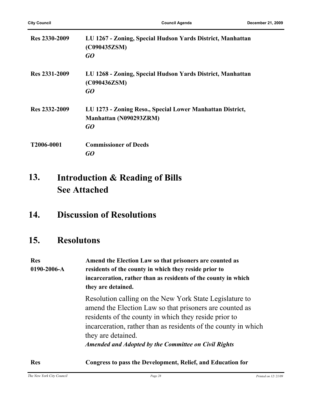| Res 2330-2009 | LU 1267 - Zoning, Special Hudson Yards District, Manhattan<br>(C090435ZSM)<br>GO          |
|---------------|-------------------------------------------------------------------------------------------|
| Res 2331-2009 | LU 1268 - Zoning, Special Hudson Yards District, Manhattan<br>(C090436ZSM)<br>GO          |
| Res 2332-2009 | LU 1273 - Zoning Reso., Special Lower Manhattan District,<br>Manhattan (N090293ZRM)<br>GO |
| T2006-0001    | <b>Commissioner of Deeds</b><br>GO                                                        |

#### **Introduction & Reading of Bills See Attached 13.**

### **14. Discussion of Resolutions**

### **15. Resolutons**

| <b>Res</b><br>$0190 - 2006 - A$ | Amend the Election Law so that prisoners are counted as<br>residents of the county in which they reside prior to<br>incarceration, rather than as residents of the county in which<br>they are detained.                                                                                                                    |
|---------------------------------|-----------------------------------------------------------------------------------------------------------------------------------------------------------------------------------------------------------------------------------------------------------------------------------------------------------------------------|
|                                 | Resolution calling on the New York State Legislature to<br>amend the Election Law so that prisoners are counted as<br>residents of the county in which they reside prior to<br>incarceration, rather than as residents of the county in which<br>they are detained.<br>Amended and Adopted by the Committee on Civil Rights |
| <b>Res</b>                      | Congress to pass the Development, Relief, and Education for                                                                                                                                                                                                                                                                 |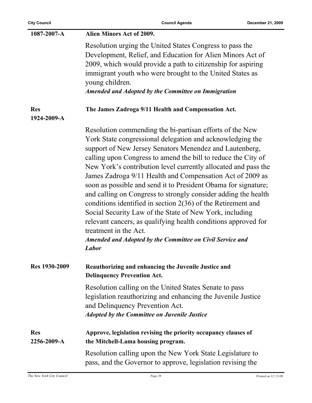| <b>City Council</b>       | <b>Council Agenda</b>                                                                                                                                                                                                                                                                                                                                                                                                                                                                                                                                                                                                                                                                                                                                                                                                            | December 21, 2009 |
|---------------------------|----------------------------------------------------------------------------------------------------------------------------------------------------------------------------------------------------------------------------------------------------------------------------------------------------------------------------------------------------------------------------------------------------------------------------------------------------------------------------------------------------------------------------------------------------------------------------------------------------------------------------------------------------------------------------------------------------------------------------------------------------------------------------------------------------------------------------------|-------------------|
| 1087-2007-A               | Alien Minors Act of 2009.                                                                                                                                                                                                                                                                                                                                                                                                                                                                                                                                                                                                                                                                                                                                                                                                        |                   |
|                           | Resolution urging the United States Congress to pass the<br>Development, Relief, and Education for Alien Minors Act of<br>2009, which would provide a path to citizenship for aspiring<br>immigrant youth who were brought to the United States as<br>young children.<br><b>Amended and Adopted by the Committee on Immigration</b>                                                                                                                                                                                                                                                                                                                                                                                                                                                                                              |                   |
| <b>Res</b><br>1924-2009-A | The James Zadroga 9/11 Health and Compensation Act.                                                                                                                                                                                                                                                                                                                                                                                                                                                                                                                                                                                                                                                                                                                                                                              |                   |
|                           | Resolution commending the bi-partisan efforts of the New<br>York State congressional delegation and acknowledging the<br>support of New Jersey Senators Menendez and Lautenberg,<br>calling upon Congress to amend the bill to reduce the City of<br>New York's contribution level currently allocated and pass the<br>James Zadroga 9/11 Health and Compensation Act of 2009 as<br>soon as possible and send it to President Obama for signature;<br>and calling on Congress to strongly consider adding the health<br>conditions identified in section $2(36)$ of the Retirement and<br>Social Security Law of the State of New York, including<br>relevant cancers, as qualifying health conditions approved for<br>treatment in the Act.<br><b>Amended and Adopted by the Committee on Civil Service and</b><br><b>Labor</b> |                   |
| Res 1930-2009             | Reauthorizing and enhancing the Juvenile Justice and<br><b>Delinquency Prevention Act.</b>                                                                                                                                                                                                                                                                                                                                                                                                                                                                                                                                                                                                                                                                                                                                       |                   |
|                           | Resolution calling on the United States Senate to pass<br>legislation reauthorizing and enhancing the Juvenile Justice<br>and Delinquency Prevention Act.<br><b>Adopted by the Committee on Juvenile Justice</b>                                                                                                                                                                                                                                                                                                                                                                                                                                                                                                                                                                                                                 |                   |
| <b>Res</b><br>2256-2009-A | Approve, legislation revising the priority occupancy clauses of<br>the Mitchell-Lama housing program.                                                                                                                                                                                                                                                                                                                                                                                                                                                                                                                                                                                                                                                                                                                            |                   |
|                           | Resolution calling upon the New York State Legislature to<br>pass, and the Governor to approve, legislation revising the                                                                                                                                                                                                                                                                                                                                                                                                                                                                                                                                                                                                                                                                                                         |                   |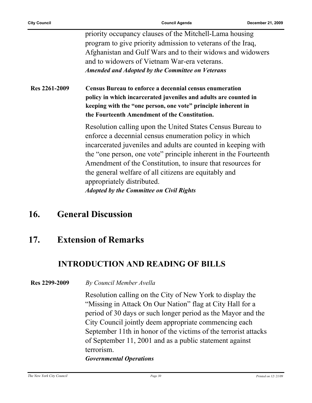|               | priority occupancy clauses of the Mitchell-Lama housing<br>program to give priority admission to veterans of the Iraq,<br>Afghanistan and Gulf Wars and to their widows and widowers<br>and to widowers of Vietnam War-era veterans.<br><b>Amended and Adopted by the Committee on Veterans</b>                                                                                                                                                                   |
|---------------|-------------------------------------------------------------------------------------------------------------------------------------------------------------------------------------------------------------------------------------------------------------------------------------------------------------------------------------------------------------------------------------------------------------------------------------------------------------------|
| Res 2261-2009 | Census Bureau to enforce a decennial census enumeration<br>policy in which incarcerated juveniles and adults are counted in<br>keeping with the "one person, one vote" principle inherent in<br>the Fourteenth Amendment of the Constitution.                                                                                                                                                                                                                     |
|               | Resolution calling upon the United States Census Bureau to<br>enforce a decennial census enumeration policy in which<br>incarcerated juveniles and adults are counted in keeping with<br>the "one person, one vote" principle inherent in the Fourteenth<br>Amendment of the Constitution, to insure that resources for<br>the general welfare of all citizens are equitably and<br>appropriately distributed.<br><b>Adopted by the Committee on Civil Rights</b> |

### **16. General Discussion**

### **17. Extension of Remarks**

### **INTRODUCTION AND READING OF BILLS**

**Res 2299-2009** *By Council Member Avella*

Resolution calling on the City of New York to display the "Missing in Attack On Our Nation" flag at City Hall for a period of 30 days or such longer period as the Mayor and the City Council jointly deem appropriate commencing each September 11th in honor of the victims of the terrorist attacks of September 11, 2001 and as a public statement against terrorism.

#### *Governmental Operations*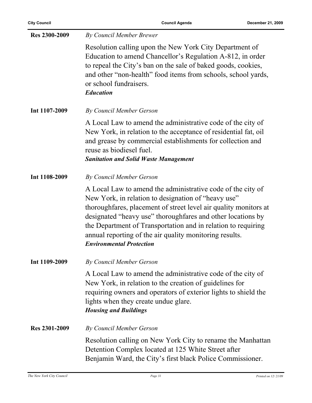| <b>Res 2300-2009</b> | <b>By Council Member Brewer</b>                                                                                                                                                                                                                                                                                                                                                                                      |
|----------------------|----------------------------------------------------------------------------------------------------------------------------------------------------------------------------------------------------------------------------------------------------------------------------------------------------------------------------------------------------------------------------------------------------------------------|
|                      | Resolution calling upon the New York City Department of<br>Education to amend Chancellor's Regulation A-812, in order<br>to repeal the City's ban on the sale of baked goods, cookies,<br>and other "non-health" food items from schools, school yards,<br>or school fundraisers.<br><b>Education</b>                                                                                                                |
| Int 1107-2009        | By Council Member Gerson                                                                                                                                                                                                                                                                                                                                                                                             |
|                      | A Local Law to amend the administrative code of the city of<br>New York, in relation to the acceptance of residential fat, oil<br>and grease by commercial establishments for collection and<br>reuse as biodiesel fuel.<br><b>Sanitation and Solid Waste Management</b>                                                                                                                                             |
| Int 1108-2009        | <b>By Council Member Gerson</b>                                                                                                                                                                                                                                                                                                                                                                                      |
|                      | A Local Law to amend the administrative code of the city of<br>New York, in relation to designation of "heavy use"<br>thoroughfares, placement of street level air quality monitors at<br>designated "heavy use" thoroughfares and other locations by<br>the Department of Transportation and in relation to requiring<br>annual reporting of the air quality monitoring results.<br><b>Environmental Protection</b> |
| Int 1109-2009        | By Council Member Gerson                                                                                                                                                                                                                                                                                                                                                                                             |
|                      | A Local Law to amend the administrative code of the city of<br>New York, in relation to the creation of guidelines for<br>requiring owners and operators of exterior lights to shield the<br>lights when they create undue glare.<br><b>Housing and Buildings</b>                                                                                                                                                    |
| Res 2301-2009        | By Council Member Gerson                                                                                                                                                                                                                                                                                                                                                                                             |
|                      | Resolution calling on New York City to rename the Manhattan<br>Detention Complex located at 125 White Street after<br>Benjamin Ward, the City's first black Police Commissioner.                                                                                                                                                                                                                                     |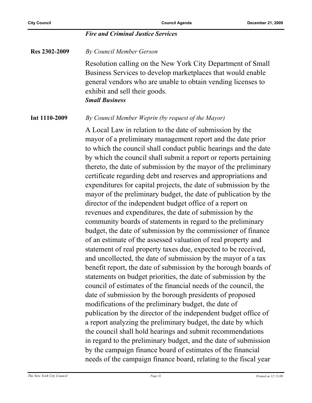#### *Fire and Criminal Justice Services*

**Res 2302-2009** *By Council Member Gerson*

Resolution calling on the New York City Department of Small Business Services to develop marketplaces that would enable general vendors who are unable to obtain vending licenses to exhibit and sell their goods. *Small Business*

**Int 1110-2009** *By Council Member Weprin (by request of the Mayor)*

A Local Law in relation to the date of submission by the mayor of a preliminary management report and the date prior to which the council shall conduct public hearings and the date by which the council shall submit a report or reports pertaining thereto, the date of submission by the mayor of the preliminary certificate regarding debt and reserves and appropriations and expenditures for capital projects, the date of submission by the mayor of the preliminary budget, the date of publication by the director of the independent budget office of a report on revenues and expenditures, the date of submission by the community boards of statements in regard to the preliminary budget, the date of submission by the commissioner of finance of an estimate of the assessed valuation of real property and statement of real property taxes due, expected to be received, and uncollected, the date of submission by the mayor of a tax benefit report, the date of submission by the borough boards of statements on budget priorities, the date of submission by the council of estimates of the financial needs of the council, the date of submission by the borough presidents of proposed modifications of the preliminary budget, the date of publication by the director of the independent budget office of a report analyzing the preliminary budget, the date by which the council shall hold hearings and submit recommendations in regard to the preliminary budget, and the date of submission by the campaign finance board of estimates of the financial needs of the campaign finance board, relating to the fiscal year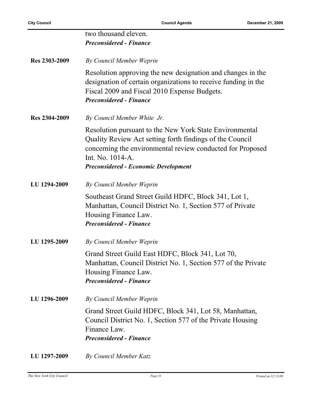|               | two thousand eleven.<br><b>Preconsidered - Finance</b>                                                                                                                                                                                               |
|---------------|------------------------------------------------------------------------------------------------------------------------------------------------------------------------------------------------------------------------------------------------------|
| Res 2303-2009 | By Council Member Weprin                                                                                                                                                                                                                             |
|               | Resolution approving the new designation and changes in the<br>designation of certain organizations to receive funding in the<br>Fiscal 2009 and Fiscal 2010 Expense Budgets.<br><b>Preconsidered - Finance</b>                                      |
| Res 2304-2009 | By Council Member White Jr.                                                                                                                                                                                                                          |
|               | Resolution pursuant to the New York State Environmental<br>Quality Review Act setting forth findings of the Council<br>concerning the environmental review conducted for Proposed<br>Int. No. 1014-A.<br><b>Preconsidered - Economic Development</b> |
| LU 1294-2009  | By Council Member Weprin                                                                                                                                                                                                                             |
|               | Southeast Grand Street Guild HDFC, Block 341, Lot 1,<br>Manhattan, Council District No. 1, Section 577 of Private<br>Housing Finance Law.<br><b>Preconsidered - Finance</b>                                                                          |
| LU 1295-2009  | By Council Member Weprin                                                                                                                                                                                                                             |
|               | Grand Street Guild East HDFC, Block 341, Lot 70,<br>Manhattan, Council District No. 1, Section 577 of the Private<br>Housing Finance Law.<br><b>Preconsidered - Finance</b>                                                                          |
| LU 1296-2009  | By Council Member Weprin                                                                                                                                                                                                                             |
|               | Grand Street Guild HDFC, Block 341, Lot 58, Manhattan,<br>Council District No. 1, Section 577 of the Private Housing<br>Finance Law.<br><b>Preconsidered - Finance</b>                                                                               |
| LU 1297-2009  | <b>By Council Member Katz</b>                                                                                                                                                                                                                        |